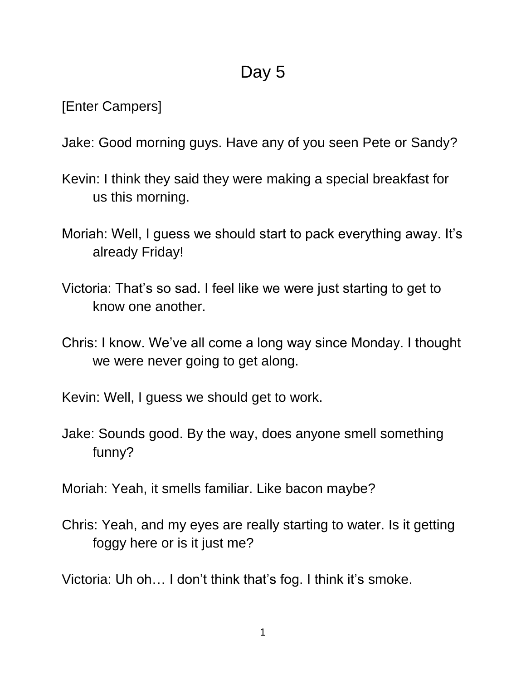## Day 5

[Enter Campers]

Jake: Good morning guys. Have any of you seen Pete or Sandy?

- Kevin: I think they said they were making a special breakfast for us this morning.
- Moriah: Well, I guess we should start to pack everything away. It's already Friday!
- Victoria: That's so sad. I feel like we were just starting to get to know one another.
- Chris: I know. We've all come a long way since Monday. I thought we were never going to get along.

Kevin: Well, I guess we should get to work.

Jake: Sounds good. By the way, does anyone smell something funny?

Moriah: Yeah, it smells familiar. Like bacon maybe?

Chris: Yeah, and my eyes are really starting to water. Is it getting foggy here or is it just me?

Victoria: Uh oh… I don't think that's fog. I think it's smoke.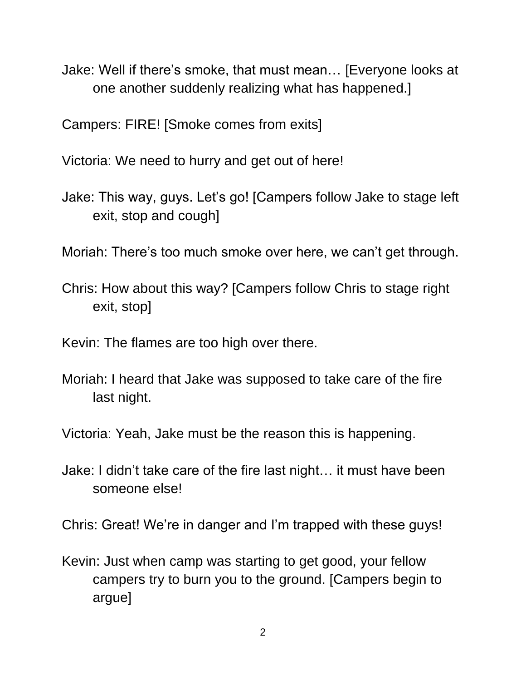Jake: Well if there's smoke, that must mean… [Everyone looks at one another suddenly realizing what has happened.]

Campers: FIRE! [Smoke comes from exits]

Victoria: We need to hurry and get out of here!

Jake: This way, guys. Let's go! [Campers follow Jake to stage left exit, stop and cough]

Moriah: There's too much smoke over here, we can't get through.

Chris: How about this way? [Campers follow Chris to stage right exit, stop]

Kevin: The flames are too high over there.

Moriah: I heard that Jake was supposed to take care of the fire last night.

Victoria: Yeah, Jake must be the reason this is happening.

Jake: I didn't take care of the fire last night… it must have been someone else!

Chris: Great! We're in danger and I'm trapped with these guys!

Kevin: Just when camp was starting to get good, your fellow campers try to burn you to the ground. [Campers begin to argue]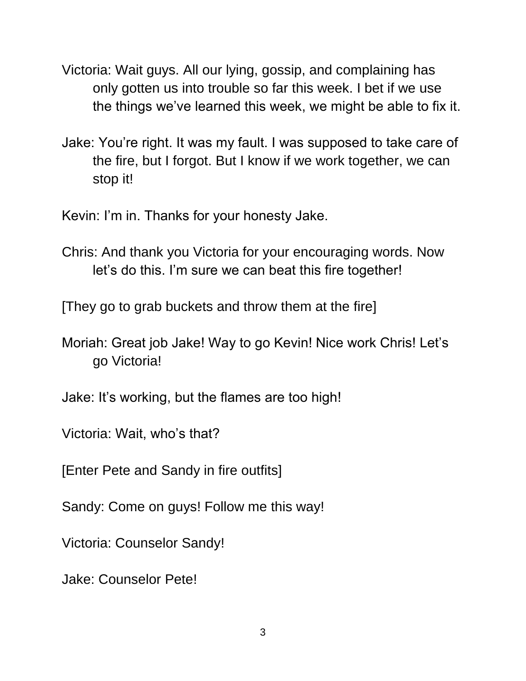- Victoria: Wait guys. All our lying, gossip, and complaining has only gotten us into trouble so far this week. I bet if we use the things we've learned this week, we might be able to fix it.
- Jake: You're right. It was my fault. I was supposed to take care of the fire, but I forgot. But I know if we work together, we can stop it!

Kevin: I'm in. Thanks for your honesty Jake.

Chris: And thank you Victoria for your encouraging words. Now let's do this. I'm sure we can beat this fire together!

[They go to grab buckets and throw them at the fire]

- Moriah: Great job Jake! Way to go Kevin! Nice work Chris! Let's go Victoria!
- Jake: It's working, but the flames are too high!

Victoria: Wait, who's that?

[Enter Pete and Sandy in fire outfits]

Sandy: Come on guys! Follow me this way!

Victoria: Counselor Sandy!

Jake: Counselor Pete!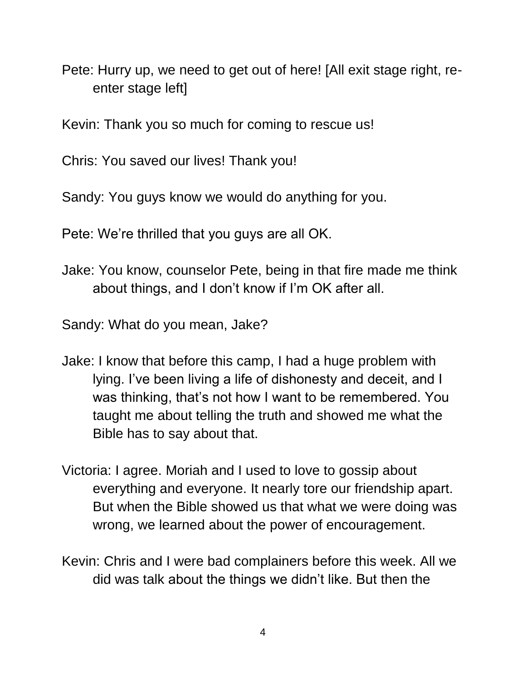Pete: Hurry up, we need to get out of here! [All exit stage right, reenter stage left]

Kevin: Thank you so much for coming to rescue us!

Chris: You saved our lives! Thank you!

Sandy: You guys know we would do anything for you.

Pete: We're thrilled that you guys are all OK.

Jake: You know, counselor Pete, being in that fire made me think about things, and I don't know if I'm OK after all.

Sandy: What do you mean, Jake?

- Jake: I know that before this camp, I had a huge problem with lying. I've been living a life of dishonesty and deceit, and I was thinking, that's not how I want to be remembered. You taught me about telling the truth and showed me what the Bible has to say about that.
- Victoria: I agree. Moriah and I used to love to gossip about everything and everyone. It nearly tore our friendship apart. But when the Bible showed us that what we were doing was wrong, we learned about the power of encouragement.
- Kevin: Chris and I were bad complainers before this week. All we did was talk about the things we didn't like. But then the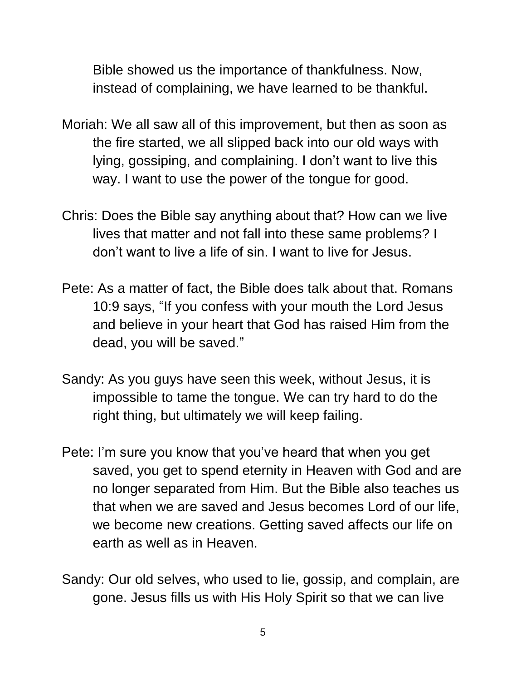Bible showed us the importance of thankfulness. Now, instead of complaining, we have learned to be thankful.

- Moriah: We all saw all of this improvement, but then as soon as the fire started, we all slipped back into our old ways with lying, gossiping, and complaining. I don't want to live this way. I want to use the power of the tongue for good.
- Chris: Does the Bible say anything about that? How can we live lives that matter and not fall into these same problems? I don't want to live a life of sin. I want to live for Jesus.
- Pete: As a matter of fact, the Bible does talk about that. Romans 10:9 says, "If you confess with your mouth the Lord Jesus and believe in your heart that God has raised Him from the dead, you will be saved."
- Sandy: As you guys have seen this week, without Jesus, it is impossible to tame the tongue. We can try hard to do the right thing, but ultimately we will keep failing.
- Pete: I'm sure you know that you've heard that when you get saved, you get to spend eternity in Heaven with God and are no longer separated from Him. But the Bible also teaches us that when we are saved and Jesus becomes Lord of our life, we become new creations. Getting saved affects our life on earth as well as in Heaven.
- Sandy: Our old selves, who used to lie, gossip, and complain, are gone. Jesus fills us with His Holy Spirit so that we can live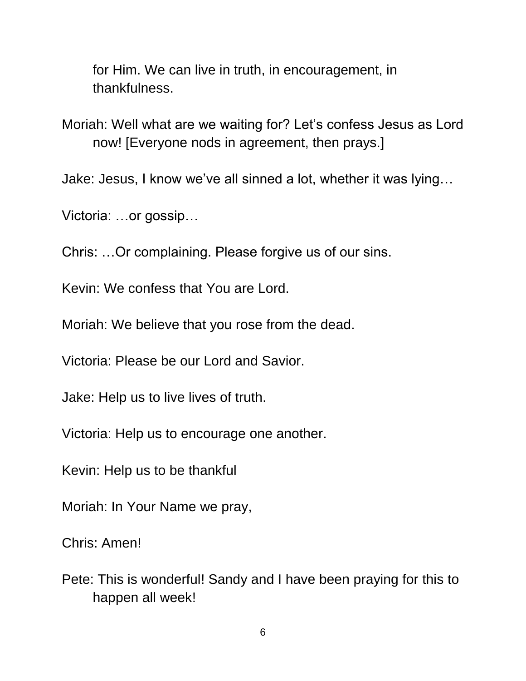for Him. We can live in truth, in encouragement, in thankfulness.

Moriah: Well what are we waiting for? Let's confess Jesus as Lord now! [Everyone nods in agreement, then prays.]

Jake: Jesus, I know we've all sinned a lot, whether it was lying…

Victoria: …or gossip…

Chris: …Or complaining. Please forgive us of our sins.

Kevin: We confess that You are Lord.

Moriah: We believe that you rose from the dead.

Victoria: Please be our Lord and Savior.

Jake: Help us to live lives of truth.

Victoria: Help us to encourage one another.

Kevin: Help us to be thankful

Moriah: In Your Name we pray,

Chris: Amen!

Pete: This is wonderful! Sandy and I have been praying for this to happen all week!